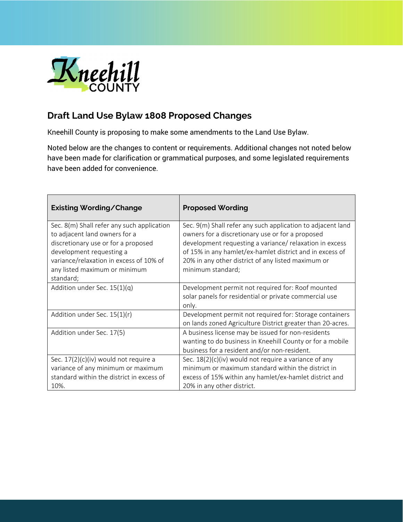

## **Draft Land Use Bylaw 1808 Proposed Changes**

Kneehill County is proposing to make some amendments to the Land Use Bylaw.

Noted below are the changes to content or requirements. Additional changes not noted below have been made for clarification or grammatical purposes, and some legislated requirements have been added for convenience.

| Existing Wording/Change                                                     | <b>Proposed Wording</b>                                                                                                                                         |
|-----------------------------------------------------------------------------|-----------------------------------------------------------------------------------------------------------------------------------------------------------------|
| Sec. 8(m) Shall refer any such application<br>to adjacent land owners for a | Sec. 9(m) Shall refer any such application to adjacent land<br>owners for a discretionary use or for a proposed                                                 |
| discretionary use or for a proposed                                         | development requesting a variance/ relaxation in excess                                                                                                         |
| development requesting a                                                    | of 15% in any hamlet/ex-hamlet district and in excess of                                                                                                        |
| variance/relaxation in excess of 10% of                                     | 20% in any other district of any listed maximum or                                                                                                              |
| any listed maximum or minimum<br>standard;                                  | minimum standard;                                                                                                                                               |
| Addition under Sec. 15(1)(q)                                                | Development permit not required for: Roof mounted<br>solar panels for residential or private commercial use<br>only.                                            |
| Addition under Sec. 15(1)(r)                                                | Development permit not required for: Storage containers<br>on lands zoned Agriculture District greater than 20-acres.                                           |
| Addition under Sec. 17(5)                                                   | A business license may be issued for non-residents<br>wanting to do business in Kneehill County or for a mobile<br>business for a resident and/or non-resident. |
| Sec. $17(2)(c)(iv)$ would not require a                                     | Sec. 18(2)(c)(iv) would not require a variance of any                                                                                                           |
| variance of any minimum or maximum                                          | minimum or maximum standard within the district in                                                                                                              |
| standard within the district in excess of                                   | excess of 15% within any hamlet/ex-hamlet district and                                                                                                          |
| 10%.                                                                        | 20% in any other district.                                                                                                                                      |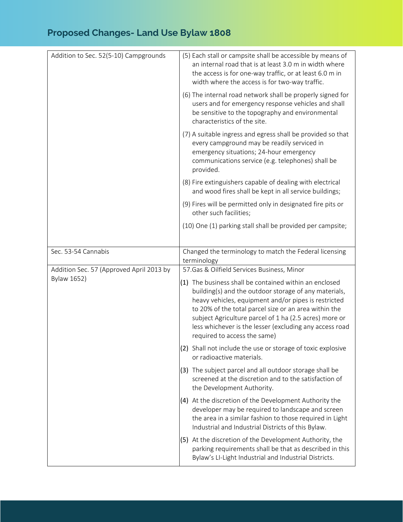| Addition to Sec. 52(5-10) Campgrounds    | (5) Each stall or campsite shall be accessible by means of<br>an internal road that is at least 3.0 m in width where<br>the access is for one-way traffic, or at least 6.0 m in<br>width where the access is for two-way traffic.                                                                                                                                                     |
|------------------------------------------|---------------------------------------------------------------------------------------------------------------------------------------------------------------------------------------------------------------------------------------------------------------------------------------------------------------------------------------------------------------------------------------|
|                                          | (6) The internal road network shall be properly signed for<br>users and for emergency response vehicles and shall<br>be sensitive to the topography and environmental<br>characteristics of the site.                                                                                                                                                                                 |
|                                          | (7) A suitable ingress and egress shall be provided so that<br>every campground may be readily serviced in<br>emergency situations; 24-hour emergency<br>communications service (e.g. telephones) shall be<br>provided.                                                                                                                                                               |
|                                          | (8) Fire extinguishers capable of dealing with electrical<br>and wood fires shall be kept in all service buildings;                                                                                                                                                                                                                                                                   |
|                                          | (9) Fires will be permitted only in designated fire pits or<br>other such facilities;                                                                                                                                                                                                                                                                                                 |
|                                          | (10) One (1) parking stall shall be provided per campsite;                                                                                                                                                                                                                                                                                                                            |
| Sec. 53-54 Cannabis                      | Changed the terminology to match the Federal licensing                                                                                                                                                                                                                                                                                                                                |
|                                          | terminology                                                                                                                                                                                                                                                                                                                                                                           |
| Addition Sec. 57 (Approved April 2013 by | 57.Gas & Oilfield Services Business, Minor                                                                                                                                                                                                                                                                                                                                            |
| <b>Bylaw 1652)</b>                       | (1) The business shall be contained within an enclosed<br>building(s) and the outdoor storage of any materials,<br>heavy vehicles, equipment and/or pipes is restricted<br>to 20% of the total parcel size or an area within the<br>subject Agriculture parcel of 1 ha (2.5 acres) more or<br>less whichever is the lesser (excluding any access road<br>required to access the same) |
|                                          | (2) Shall not include the use or storage of toxic explosive<br>or radioactive materials.                                                                                                                                                                                                                                                                                              |
|                                          | (3) The subject parcel and all outdoor storage shall be<br>screened at the discretion and to the satisfaction of<br>the Development Authority.                                                                                                                                                                                                                                        |
|                                          | (4) At the discretion of the Development Authority the<br>developer may be required to landscape and screen<br>the area in a similar fashion to those required in Light<br>Industrial and Industrial Districts of this Bylaw.                                                                                                                                                         |
|                                          | (5) At the discretion of the Development Authority, the<br>parking requirements shall be that as described in this<br>Bylaw's LI-Light Industrial and Industrial Districts.                                                                                                                                                                                                           |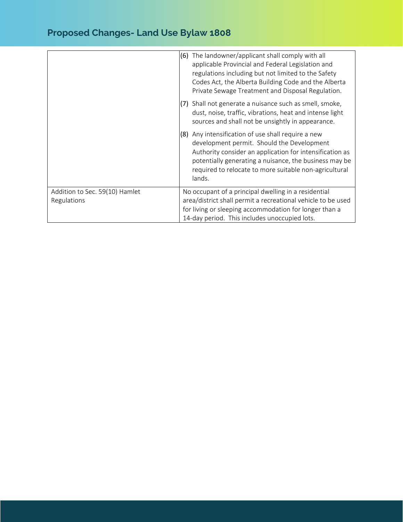|                                               | (6) The landowner/applicant shall comply with all<br>applicable Provincial and Federal Legislation and<br>regulations including but not limited to the Safety<br>Codes Act, the Alberta Building Code and the Alberta<br>Private Sewage Treatment and Disposal Regulation.                 |
|-----------------------------------------------|--------------------------------------------------------------------------------------------------------------------------------------------------------------------------------------------------------------------------------------------------------------------------------------------|
|                                               | (7) Shall not generate a nuisance such as smell, smoke,<br>dust, noise, traffic, vibrations, heat and intense light<br>sources and shall not be unsightly in appearance.                                                                                                                   |
|                                               | (8) Any intensification of use shall require a new<br>development permit. Should the Development<br>Authority consider an application for intensification as<br>potentially generating a nuisance, the business may be<br>required to relocate to more suitable non-agricultural<br>lands. |
| Addition to Sec. 59(10) Hamlet<br>Regulations | No occupant of a principal dwelling in a residential<br>area/district shall permit a recreational vehicle to be used<br>for living or sleeping accommodation for longer than a<br>14-day period. This includes unoccupied lots.                                                            |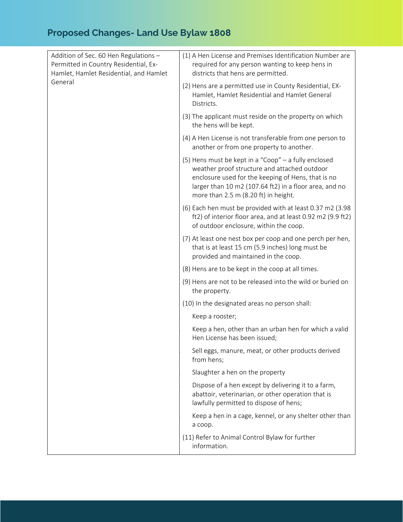| Addition of Sec. 60 Hen Regulations -<br>Permitted in Country Residential, Ex-<br>Hamlet, Hamlet Residential, and Hamlet | (1) A Hen License and Premises Identification Number are<br>required for any person wanting to keep hens in<br>districts that hens are permitted.                                                                                                            |
|--------------------------------------------------------------------------------------------------------------------------|--------------------------------------------------------------------------------------------------------------------------------------------------------------------------------------------------------------------------------------------------------------|
| General                                                                                                                  | (2) Hens are a permitted use in County Residential, EX-<br>Hamlet, Hamlet Residential and Hamlet General<br>Districts.                                                                                                                                       |
|                                                                                                                          | (3) The applicant must reside on the property on which<br>the hens will be kept.                                                                                                                                                                             |
|                                                                                                                          | (4) A Hen License is not transferable from one person to<br>another or from one property to another.                                                                                                                                                         |
|                                                                                                                          | (5) Hens must be kept in a "Coop" - a fully enclosed<br>weather proof structure and attached outdoor<br>enclosure used for the keeping of Hens, that is no<br>larger than 10 m2 (107.64 ft2) in a floor area, and no<br>more than 2.5 m (8.20 ft) in height. |
|                                                                                                                          | (6) Each hen must be provided with at least 0.37 m2 (3.98<br>ft2) of interior floor area, and at least 0.92 m2 (9.9 ft2)<br>of outdoor enclosure, within the coop.                                                                                           |
|                                                                                                                          | (7) At least one nest box per coop and one perch per hen,<br>that is at least 15 cm (5.9 inches) long must be<br>provided and maintained in the coop.                                                                                                        |
|                                                                                                                          | (8) Hens are to be kept in the coop at all times.                                                                                                                                                                                                            |
|                                                                                                                          | (9) Hens are not to be released into the wild or buried on<br>the property.                                                                                                                                                                                  |
|                                                                                                                          | (10) In the designated areas no person shall:                                                                                                                                                                                                                |
|                                                                                                                          | Keep a rooster;                                                                                                                                                                                                                                              |
|                                                                                                                          | Keep a hen, other than an urban hen for which a valid<br>Hen License has been issued;                                                                                                                                                                        |
|                                                                                                                          | Sell eggs, manure, meat, or other products derived<br>from hens;                                                                                                                                                                                             |
|                                                                                                                          | Slaughter a hen on the property                                                                                                                                                                                                                              |
|                                                                                                                          | Dispose of a hen except by delivering it to a farm,<br>abattoir, veterinarian, or other operation that is<br>lawfully permitted to dispose of hens;                                                                                                          |
|                                                                                                                          | Keep a hen in a cage, kennel, or any shelter other than<br>a coop.                                                                                                                                                                                           |
|                                                                                                                          | (11) Refer to Animal Control Bylaw for further<br>information.                                                                                                                                                                                               |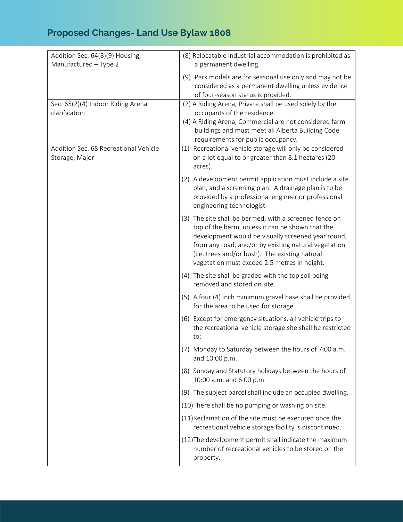| Addition Sec. 64(8)(9) Housing,<br>Manufactured - Type 2 | (8) Relocatable industrial accommodation is prohibited as<br>a permanent dwelling.                                                                                                                                                                                                                                         |
|----------------------------------------------------------|----------------------------------------------------------------------------------------------------------------------------------------------------------------------------------------------------------------------------------------------------------------------------------------------------------------------------|
|                                                          | (9) Park models are for seasonal use only and may not be<br>considered as a permanent dwelling unless evidence<br>of four-season status is provided.                                                                                                                                                                       |
| Sec. 65(2)(4) Indoor Riding Arena<br>clarification       | (2) A Riding Arena, Private shall be used solely by the<br>occupants of the residence.<br>(4) A Riding Arena, Commercial are not considered farm<br>buildings and must meet all Alberta Building Code<br>requirements for public occupancy.                                                                                |
| Addition Sec. 68 Recreational Vehicle<br>Storage, Major  | (1) Recreational vehicle storage will only be considered<br>on a lot equal to or greater than 8.1 hectares (20<br>acres).                                                                                                                                                                                                  |
|                                                          | (2) A development permit application must include a site<br>plan, and a screening plan. A drainage plan is to be<br>provided by a professional engineer or professional<br>engineering technologist.                                                                                                                       |
|                                                          | (3) The site shall be bermed, with a screened fence on<br>top of the berm, unless it can be shown that the<br>development would be visually screened year round,<br>from any road, and/or by existing natural vegetation<br>(i.e. trees and/or bush). The existing natural<br>vegetation must exceed 2.5 metres in height. |
|                                                          | (4) The site shall be graded with the top soil being<br>removed and stored on site.                                                                                                                                                                                                                                        |
|                                                          | (5) A four (4) inch minimum gravel base shall be provided<br>for the area to be used for storage.                                                                                                                                                                                                                          |
|                                                          | (6) Except for emergency situations, all vehicle trips to<br>the recreational vehicle storage site shall be restricted<br>to:                                                                                                                                                                                              |
|                                                          | (7) Monday to Saturday between the hours of 7:00 a.m.<br>and 10:00 p.m.                                                                                                                                                                                                                                                    |
|                                                          | (8) Sunday and Statutory holidays between the hours of<br>10:00 a.m. and 6:00 p.m.                                                                                                                                                                                                                                         |
|                                                          | (9) The subject parcel shall include an occupied dwelling.                                                                                                                                                                                                                                                                 |
|                                                          | (10) There shall be no pumping or washing on site.                                                                                                                                                                                                                                                                         |
|                                                          | (11) Reclamation of the site must be executed once the<br>recreational vehicle storage facility is discontinued.                                                                                                                                                                                                           |
|                                                          | (12) The development permit shall indicate the maximum<br>number of recreational vehicles to be stored on the<br>property.                                                                                                                                                                                                 |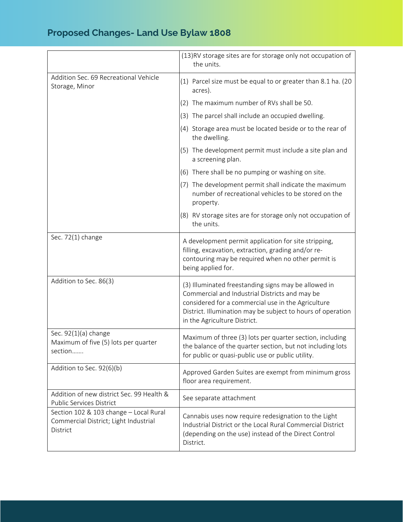|                                                                                             | (13)RV storage sites are for storage only not occupation of<br>the units.                                                                                                                                                                                   |
|---------------------------------------------------------------------------------------------|-------------------------------------------------------------------------------------------------------------------------------------------------------------------------------------------------------------------------------------------------------------|
| Addition Sec. 69 Recreational Vehicle<br>Storage, Minor                                     | (1) Parcel size must be equal to or greater than 8.1 ha. (20<br>acres).                                                                                                                                                                                     |
|                                                                                             | (2) The maximum number of RVs shall be 50.                                                                                                                                                                                                                  |
|                                                                                             | (3) The parcel shall include an occupied dwelling.                                                                                                                                                                                                          |
|                                                                                             | (4) Storage area must be located beside or to the rear of<br>the dwelling.                                                                                                                                                                                  |
|                                                                                             | (5) The development permit must include a site plan and<br>a screening plan.                                                                                                                                                                                |
|                                                                                             | (6) There shall be no pumping or washing on site.                                                                                                                                                                                                           |
|                                                                                             | (7) The development permit shall indicate the maximum<br>number of recreational vehicles to be stored on the<br>property.                                                                                                                                   |
|                                                                                             | (8) RV storage sites are for storage only not occupation of<br>the units.                                                                                                                                                                                   |
| Sec. 72(1) change                                                                           | A development permit application for site stripping,<br>filling, excavation, extraction, grading and/or re-<br>contouring may be required when no other permit is<br>being applied for.                                                                     |
| Addition to Sec. 86(3)                                                                      | (3) Illuminated freestanding signs may be allowed in<br>Commercial and Industrial Districts and may be<br>considered for a commercial use in the Agriculture<br>District. Illumination may be subject to hours of operation<br>in the Agriculture District. |
| Sec. $92(1)(a)$ change<br>Maximum of five (5) lots per quarter<br>section                   | Maximum of three (3) lots per quarter section, including<br>the balance of the quarter section, but not including lots<br>for public or quasi-public use or public utility.                                                                                 |
| Addition to Sec. 92(6)(b)                                                                   | Approved Garden Suites are exempt from minimum gross<br>floor area requirement.                                                                                                                                                                             |
| Addition of new district Sec. 99 Health &<br>Public Services District                       | See separate attachment                                                                                                                                                                                                                                     |
| Section 102 & 103 change - Local Rural<br>Commercial District; Light Industrial<br>District | Cannabis uses now require redesignation to the Light<br>Industrial District or the Local Rural Commercial District<br>(depending on the use) instead of the Direct Control<br>District.                                                                     |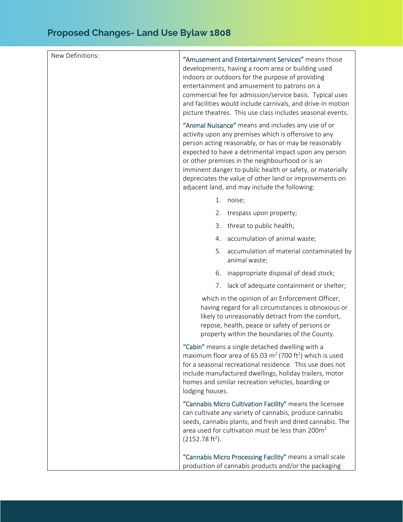| New Definitions: | "Amusement and Entertainment Services" means those<br>developments, having a room area or building used<br>indoors or outdoors for the purpose of providing<br>entertainment and amusement to patrons on a<br>commercial fee for admission/service basis. Typical uses<br>and facilities would include carnivals, and drive-in motion<br>picture theatres. This use class includes seasonal events.                                                     |
|------------------|---------------------------------------------------------------------------------------------------------------------------------------------------------------------------------------------------------------------------------------------------------------------------------------------------------------------------------------------------------------------------------------------------------------------------------------------------------|
|                  | "Animal Nuisance" means and includes any use of or<br>activity upon any premises which is offensive to any<br>person acting reasonably, or has or may be reasonably<br>expected to have a detrimental impact upon any person<br>or other premises in the neighbourhood or is an<br>imminent danger to public health or safety, or materially<br>depreciates the value of other land or improvements on<br>adjacent land, and may include the following: |
|                  | 1. noise;                                                                                                                                                                                                                                                                                                                                                                                                                                               |
|                  | trespass upon property;<br>2.                                                                                                                                                                                                                                                                                                                                                                                                                           |
|                  | threat to public health;<br>3.                                                                                                                                                                                                                                                                                                                                                                                                                          |
|                  | 4. accumulation of animal waste;                                                                                                                                                                                                                                                                                                                                                                                                                        |
|                  | accumulation of material contaminated by<br>5.<br>animal waste;                                                                                                                                                                                                                                                                                                                                                                                         |
|                  | inappropriate disposal of dead stock;<br>6.                                                                                                                                                                                                                                                                                                                                                                                                             |
|                  | 7. lack of adequate containment or shelter;                                                                                                                                                                                                                                                                                                                                                                                                             |
|                  | which in the opinion of an Enforcement Officer,<br>having regard for all circumstances is obnoxious or<br>likely to unreasonably detract from the comfort,<br>repose, health, peace or safety of persons or<br>property within the boundaries of the County.                                                                                                                                                                                            |
|                  | "Cabin" means a single detached dwelling with a<br>maximum floor area of 65.03 $m^2$ (700 ft <sup>2</sup> ) which is used<br>for a seasonal recreational residence. This use does not<br>include manufactured dwellings, holiday trailers, motor<br>homes and similar recreation vehicles, boarding or<br>lodging houses.                                                                                                                               |
|                  | "Cannabis Micro Cultivation Facility" means the licensee<br>can cultivate any variety of cannabis, produce cannabis<br>seeds, cannabis plants, and fresh and dried cannabis. The<br>area used for cultivation must be less than 200m <sup>2</sup><br>(2152.78 ft <sup>2</sup> ).                                                                                                                                                                        |
|                  | "Cannabis Micro Processing Facility" means a small scale<br>production of cannabis products and/or the packaging                                                                                                                                                                                                                                                                                                                                        |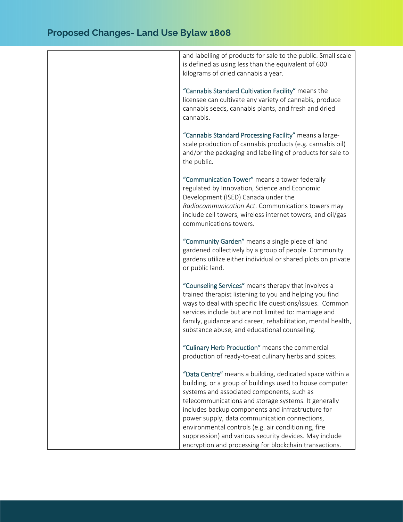| and labelling of products for sale to the public. Small scale<br>is defined as using less than the equivalent of 600<br>kilograms of dried cannabis a year.                                                                                                                                                                                                                                                                                                                                                 |
|-------------------------------------------------------------------------------------------------------------------------------------------------------------------------------------------------------------------------------------------------------------------------------------------------------------------------------------------------------------------------------------------------------------------------------------------------------------------------------------------------------------|
| "Cannabis Standard Cultivation Facility" means the<br>licensee can cultivate any variety of cannabis, produce<br>cannabis seeds, cannabis plants, and fresh and dried<br>cannabis.                                                                                                                                                                                                                                                                                                                          |
| "Cannabis Standard Processing Facility" means a large-<br>scale production of cannabis products (e.g. cannabis oil)<br>and/or the packaging and labelling of products for sale to<br>the public.                                                                                                                                                                                                                                                                                                            |
| "Communication Tower" means a tower federally<br>regulated by Innovation, Science and Economic<br>Development (ISED) Canada under the<br>Radiocommunication Act. Communications towers may<br>include cell towers, wireless internet towers, and oil/gas<br>communications towers.                                                                                                                                                                                                                          |
| "Community Garden" means a single piece of land<br>gardened collectively by a group of people. Community<br>gardens utilize either individual or shared plots on private<br>or public land.                                                                                                                                                                                                                                                                                                                 |
| "Counseling Services" means therapy that involves a<br>trained therapist listening to you and helping you find<br>ways to deal with specific life questions/issues. Common<br>services include but are not limited to: marriage and<br>family, guidance and career, rehabilitation, mental health,<br>substance abuse, and educational counseling.                                                                                                                                                          |
| "Culinary Herb Production" means the commercial<br>production of ready-to-eat culinary herbs and spices.                                                                                                                                                                                                                                                                                                                                                                                                    |
| "Data Centre" means a building, dedicated space within a<br>building, or a group of buildings used to house computer<br>systems and associated components, such as<br>telecommunications and storage systems. It generally<br>includes backup components and infrastructure for<br>power supply, data communication connections,<br>environmental controls (e.g. air conditioning, fire<br>suppression) and various security devices. May include<br>encryption and processing for blockchain transactions. |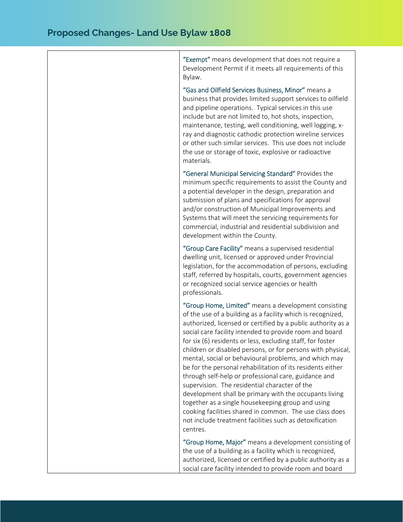"Exempt" means development that does not require a Development Permit if it meets all requirements of this Bylaw.

"Gas and Oilfield Services Business, Minor" means a business that provides limited support services to oilfield and pipeline operations. Typical services in this use include but are not limited to, hot shots, inspection, maintenance, testing, well conditioning, well logging, x‐ ray and diagnostic cathodic protection wireline services or other such similar services. This use does not include the use or storage of toxic, explosive or radioactive materials.

"General Municipal Servicing Standard" Provides the minimum specific requirements to assist the County and a potential developer in the design, preparation and submission of plans and specifications for approval and/or construction of Municipal Improvements and Systems that will meet the servicing requirements for commercial, industrial and residential subdivision and development within the County.

"Group Care Facility" means a supervised residential dwelling unit, licensed or approved under Provincial legislation, for the accommodation of persons, excluding staff, referred by hospitals, courts, government agencies or recognized social service agencies or health professionals.

"Group Home, Limited" means a development consisting of the use of a building as a facility which is recognized, authorized, licensed or certified by a public authority as a social care facility intended to provide room and board for six (6) residents or less, excluding staff, for foster children or disabled persons, or for persons with physical, mental, social or behavioural problems, and which may be for the personal rehabilitation of its residents either through self‐help or professional care, guidance and supervision. The residential character of the development shall be primary with the occupants living together as a single housekeeping group and using cooking facilities shared in common. The use class does not include treatment facilities such as detoxification centres.

"Group Home, Major" means a development consisting of the use of a building as a facility which is recognized, authorized, licensed or certified by a public authority as a social care facility intended to provide room and board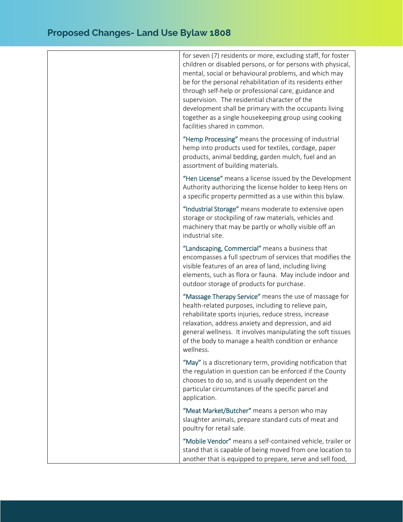| for seven (7) residents or more, excluding staff, for foster<br>children or disabled persons, or for persons with physical,<br>mental, social or behavioural problems, and which may<br>be for the personal rehabilitation of its residents either<br>through self-help or professional care, guidance and<br>supervision. The residential character of the<br>development shall be primary with the occupants living<br>together as a single housekeeping group using cooking<br>facilities shared in common. |
|----------------------------------------------------------------------------------------------------------------------------------------------------------------------------------------------------------------------------------------------------------------------------------------------------------------------------------------------------------------------------------------------------------------------------------------------------------------------------------------------------------------|
| "Hemp Processing" means the processing of industrial<br>hemp into products used for textiles, cordage, paper<br>products, animal bedding, garden mulch, fuel and an<br>assortment of building materials.                                                                                                                                                                                                                                                                                                       |
| "Hen License" means a license issued by the Development<br>Authority authorizing the license holder to keep Hens on<br>a specific property permitted as a use within this bylaw.                                                                                                                                                                                                                                                                                                                               |
| "Industrial Storage" means moderate to extensive open<br>storage or stockpiling of raw materials, vehicles and<br>machinery that may be partly or wholly visible off an<br>industrial site.                                                                                                                                                                                                                                                                                                                    |
| "Landscaping, Commercial" means a business that<br>encompasses a full spectrum of services that modifies the<br>visible features of an area of land, including living<br>elements, such as flora or fauna. May include indoor and<br>outdoor storage of products for purchase.                                                                                                                                                                                                                                 |
| "Massage Therapy Service" means the use of massage for<br>health-related purposes, including to relieve pain,<br>rehabilitate sports injuries, reduce stress, increase<br>relaxation, address anxiety and depression, and aid<br>general wellness. It involves manipulating the soft tissues<br>of the body to manage a health condition or enhance<br>wellness.                                                                                                                                               |
| "May" is a discretionary term, providing notification that<br>the regulation in question can be enforced if the County<br>chooses to do so, and is usually dependent on the<br>particular circumstances of the specific parcel and<br>application.                                                                                                                                                                                                                                                             |
| "Meat Market/Butcher" means a person who may<br>slaughter animals, prepare standard cuts of meat and<br>poultry for retail sale.                                                                                                                                                                                                                                                                                                                                                                               |
| "Mobile Vendor" means a self-contained vehicle, trailer or<br>stand that is capable of being moved from one location to<br>another that is equipped to prepare, serve and sell food,                                                                                                                                                                                                                                                                                                                           |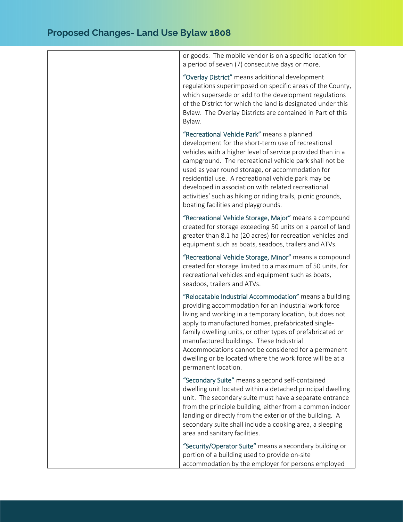| or goods. The mobile vendor is on a specific location for<br>a period of seven (7) consecutive days or more.                                                                                                                                                                                                                                                                                                                                                                                      |
|---------------------------------------------------------------------------------------------------------------------------------------------------------------------------------------------------------------------------------------------------------------------------------------------------------------------------------------------------------------------------------------------------------------------------------------------------------------------------------------------------|
| "Overlay District" means additional development<br>regulations superimposed on specific areas of the County,<br>which supersede or add to the development regulations<br>of the District for which the land is designated under this<br>Bylaw. The Overlay Districts are contained in Part of this<br>Bylaw.                                                                                                                                                                                      |
| "Recreational Vehicle Park" means a planned<br>development for the short-term use of recreational<br>vehicles with a higher level of service provided than in a<br>campground. The recreational vehicle park shall not be<br>used as year round storage, or accommodation for<br>residential use. A recreational vehicle park may be<br>developed in association with related recreational<br>activities' such as hiking or riding trails, picnic grounds,<br>boating facilities and playgrounds. |
| "Recreational Vehicle Storage, Major" means a compound<br>created for storage exceeding 50 units on a parcel of land<br>greater than 8.1 ha (20 acres) for recreation vehicles and<br>equipment such as boats, seadoos, trailers and ATVs.                                                                                                                                                                                                                                                        |
| "Recreational Vehicle Storage, Minor" means a compound<br>created for storage limited to a maximum of 50 units, for<br>recreational vehicles and equipment such as boats,<br>seadoos, trailers and ATVs.                                                                                                                                                                                                                                                                                          |
| "Relocatable Industrial Accommodation" means a building<br>providing accommodation for an industrial work force<br>living and working in a temporary location, but does not<br>apply to manufactured homes, prefabricated single-<br>family dwelling units, or other types of prefabricated or<br>manufactured buildings. These Industrial<br>Accommodations cannot be considered for a permanent<br>dwelling or be located where the work force will be at a<br>permanent location.              |
| "Secondary Suite" means a second self-contained<br>dwelling unit located within a detached principal dwelling<br>unit. The secondary suite must have a separate entrance<br>from the principle building, either from a common indoor<br>landing or directly from the exterior of the building. A<br>secondary suite shall include a cooking area, a sleeping<br>area and sanitary facilities.                                                                                                     |
| "Security/Operator Suite" means a secondary building or<br>portion of a building used to provide on-site<br>accommodation by the employer for persons employed                                                                                                                                                                                                                                                                                                                                    |